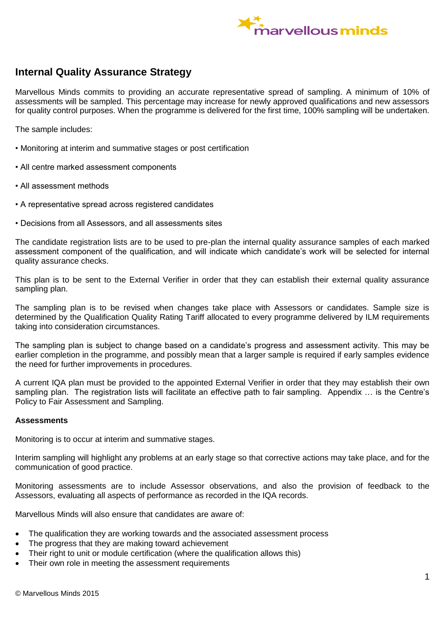

# **Internal Quality Assurance Strategy**

Marvellous Minds commits to providing an accurate representative spread of sampling. A minimum of 10% of assessments will be sampled. This percentage may increase for newly approved qualifications and new assessors for quality control purposes. When the programme is delivered for the first time, 100% sampling will be undertaken.

The sample includes:

- Monitoring at interim and summative stages or post certification
- All centre marked assessment components
- All assessment methods
- A representative spread across registered candidates
- Decisions from all Assessors, and all assessments sites

The candidate registration lists are to be used to pre-plan the internal quality assurance samples of each marked assessment component of the qualification, and will indicate which candidate's work will be selected for internal quality assurance checks.

This plan is to be sent to the External Verifier in order that they can establish their external quality assurance sampling plan.

The sampling plan is to be revised when changes take place with Assessors or candidates. Sample size is determined by the Qualification Quality Rating Tariff allocated to every programme delivered by ILM requirements taking into consideration circumstances.

The sampling plan is subject to change based on a candidate's progress and assessment activity. This may be earlier completion in the programme, and possibly mean that a larger sample is required if early samples evidence the need for further improvements in procedures.

A current IQA plan must be provided to the appointed External Verifier in order that they may establish their own sampling plan. The registration lists will facilitate an effective path to fair sampling. Appendix … is the Centre's Policy to Fair Assessment and Sampling.

#### **Assessments**

Monitoring is to occur at interim and summative stages.

Interim sampling will highlight any problems at an early stage so that corrective actions may take place, and for the communication of good practice.

Monitoring assessments are to include Assessor observations, and also the provision of feedback to the Assessors, evaluating all aspects of performance as recorded in the IQA records.

Marvellous Minds will also ensure that candidates are aware of:

- The qualification they are working towards and the associated assessment process
- The progress that they are making toward achievement
- Their right to unit or module certification (where the qualification allows this)
- Their own role in meeting the assessment requirements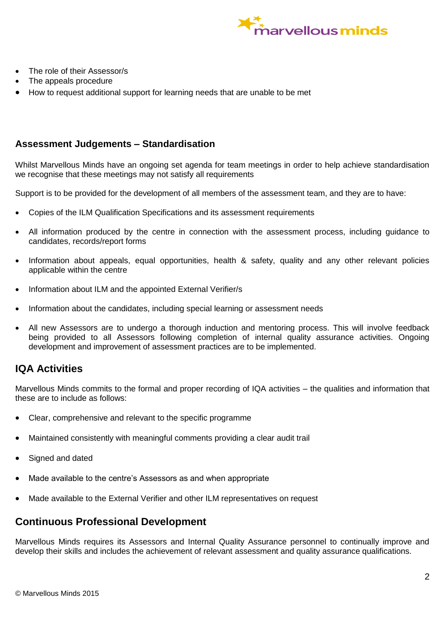

- The role of their Assessor/s
- The appeals procedure
- How to request additional support for learning needs that are unable to be met

### **Assessment Judgements – Standardisation**

Whilst Marvellous Minds have an ongoing set agenda for team meetings in order to help achieve standardisation we recognise that these meetings may not satisfy all requirements

Support is to be provided for the development of all members of the assessment team, and they are to have:

- Copies of the ILM Qualification Specifications and its assessment requirements
- All information produced by the centre in connection with the assessment process, including guidance to candidates, records/report forms
- Information about appeals, equal opportunities, health & safety, quality and any other relevant policies applicable within the centre
- Information about ILM and the appointed External Verifier/s
- Information about the candidates, including special learning or assessment needs
- All new Assessors are to undergo a thorough induction and mentoring process. This will involve feedback being provided to all Assessors following completion of internal quality assurance activities. Ongoing development and improvement of assessment practices are to be implemented.

## **IQA Activities**

Marvellous Minds commits to the formal and proper recording of IQA activities – the qualities and information that these are to include as follows:

- Clear, comprehensive and relevant to the specific programme
- Maintained consistently with meaningful comments providing a clear audit trail
- Signed and dated
- Made available to the centre's Assessors as and when appropriate
- Made available to the External Verifier and other ILM representatives on request

## **Continuous Professional Development**

Marvellous Minds requires its Assessors and Internal Quality Assurance personnel to continually improve and develop their skills and includes the achievement of relevant assessment and quality assurance qualifications.